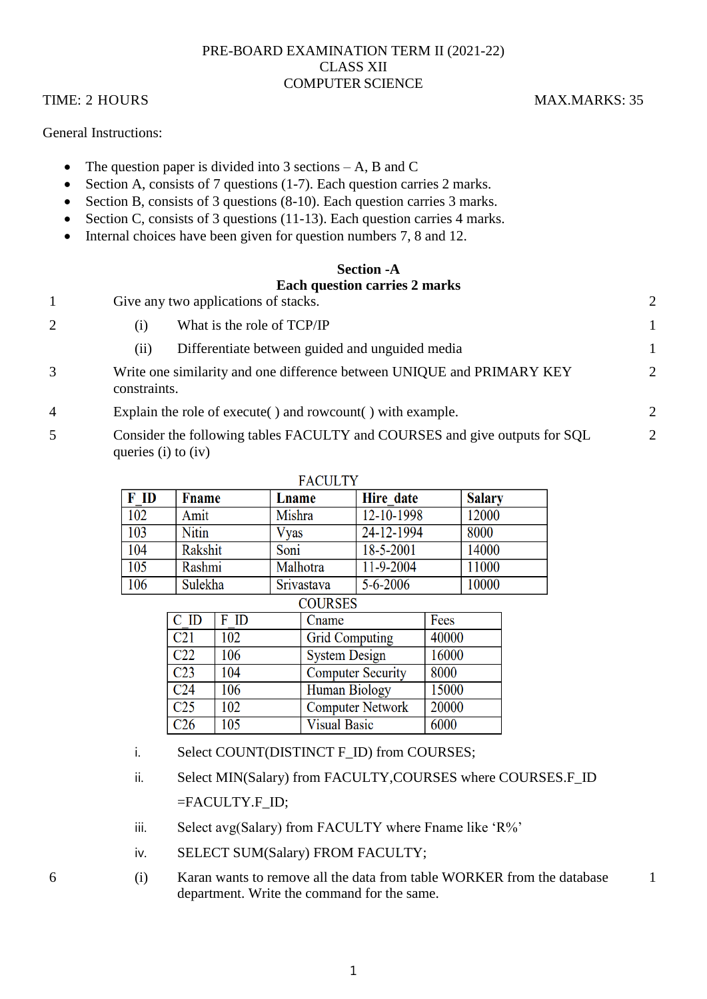#### PRE-BOARD EXAMINATION TERM II (2021-22) CLASS XII COMPUTER SCIENCE

## TIME: 2 HOURS MAX.MARKS: 35

General Instructions:

- The question paper is divided into 3 sections  $-A$ , B and C
- $\bullet$  Section A, consists of 7 questions (1-7). Each question carries 2 marks.
- Section B, consists of 3 questions (8-10). Each question carries 3 marks.
- Section C, consists of 3 questions (11-13). Each question carries 4 marks.
- Internal choices have been given for question numbers 7, 8 and 12.

# **Section -A Each question carries 2 marks**

|   | Give any two applications of stacks.                                                                  | $\overline{2}$              |
|---|-------------------------------------------------------------------------------------------------------|-----------------------------|
|   | What is the role of TCP/IP<br>$\left(1\right)$                                                        |                             |
|   | Differentiate between guided and unguided media<br>(11)                                               |                             |
| 3 | Write one similarity and one difference between UNIQUE and PRIMARY KEY<br>constraints.                | $\mathcal{D}_{\mathcal{L}}$ |
| 4 | Explain the role of execute () and rowcount () with example.                                          | $\mathcal{D}_{\mathcal{L}}$ |
| 5 | Consider the following tables FACULTY and COURSES and give outputs for SQL<br>queries $(i)$ to $(iv)$ | $\overline{2}$              |

| <b>FACULIY</b>                                   |               |            |                     |               |
|--------------------------------------------------|---------------|------------|---------------------|---------------|
| F ID                                             | <b>F</b> name | Lname      | Hire date           | <b>Salary</b> |
| 102                                              | Amit          | Mishra     | 12-10-1998          | 12000         |
| 103                                              | <b>Nitin</b>  | Vyas       | $\sqrt{24-12-1994}$ | 8000          |
| 104                                              | Rakshit       | Soni       | 18-5-2001           | 14000         |
| 105                                              | Rashmi        | Malhotra   | 11-9-2004           | 11000         |
| 106                                              | Sulekha       | Srivastava | $5 - 6 - 2006$      | 10000         |
| $\sim$ $\sim$ $\sim$ $\sim$ $\sim$ $\sim$ $\sim$ |               |            |                     |               |

| <b>COURSES</b>   |      |                          |       |  |
|------------------|------|--------------------------|-------|--|
| C ID             | F ID | Cname                    | Fees  |  |
| $\overline{C21}$ | 102  | <b>Grid Computing</b>    | 40000 |  |
| C22              | 106  | <b>System Design</b>     | 16000 |  |
| C <sub>23</sub>  | 104  | <b>Computer Security</b> | 8000  |  |
| C <sub>24</sub>  | 106  | <b>Human Biology</b>     | 15000 |  |
| C <sub>25</sub>  | 102  | <b>Computer Network</b>  | 20000 |  |
| $\overline{C26}$ | 105  | <b>Visual Basic</b>      | 6000  |  |

# **EACHLTV**

i. Select COUNT(DISTINCT F\_ID) from COURSES;

ii. Select MIN(Salary) from FACULTY, COURSES where COURSES.F\_ID =FACULTY.F\_ID;

- iii. Select avg(Salary) from FACULTY where Fname like 'R%'
- iv. SELECT SUM(Salary) FROM FACULTY;
- 6 (i) Karan wants to remove all the data from table WORKER from the database department. Write the command for the same.

1

1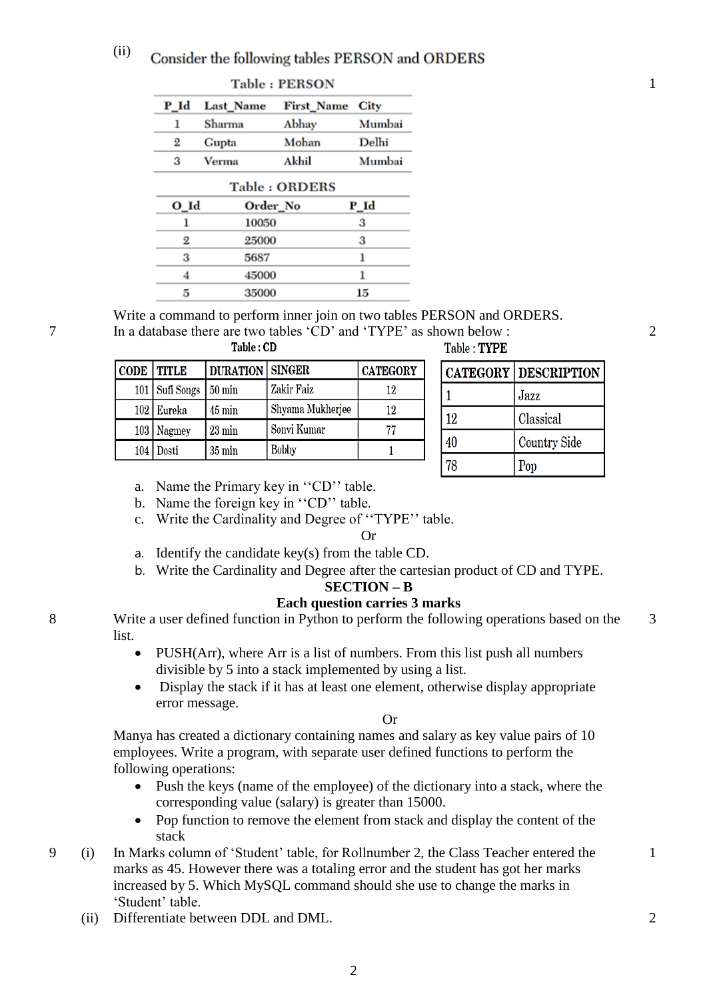#### (ii) Consider the following tables PERSON and ORDERS

| Table: PERSON |               |                   |        |  |
|---------------|---------------|-------------------|--------|--|
| P_Id          | Last_Name     | <b>First_Name</b> | City   |  |
| 1             | Sharma        | Abhay             | Mumbai |  |
| 2             | Gupta         | Mohan             | Delhi  |  |
| з             | Verma         | Akhil             | Mumbai |  |
|               | Table: ORDERS |                   |        |  |
| O Id          | Order_No      |                   | P Id   |  |
| 1             | 10050         |                   | 3      |  |
| 2             | 25000         |                   | 3      |  |
| 3             | 5687          |                   | 1      |  |
| 4             | 45000         |                   | 1      |  |
| 5             | 35000         |                   | 15     |  |

Write a command to perform inner join on two tables PERSON and ORDERS.

| Table : UD   |                  |                          |                  |                 |
|--------------|------------------|--------------------------|------------------|-----------------|
| CODE   TITLE |                  | <b>DURATION   SINGER</b> |                  | <b>CATEGORY</b> |
|              | 101   Sufi Songs | 50 min                   | Zakir Faiz       | 12              |
|              | 102 Eureka       | $45 \,\mathrm{min}$      | Shyama Mukherjee | 12              |
|              | 103   Nagmey     | $23 \text{ min}$         | Sonvi Kumar      | 77              |
| 104          | )osti            | $35 \,\mathrm{min}$      | Bobby            |                 |

7 In a database there are two tables 'CD' and 'TYPE' as shown below : Table: TYPE

|    | <b>CATEGORY   DESCRIPTION  </b> |
|----|---------------------------------|
|    | Jazz                            |
| 12 | Classical                       |
| 40 | <b>Country Side</b>             |
| 78 | Pop                             |

- a. Name the Primary key in ''CD'' table.
- b. Name the foreign key in ''CD'' table.
- c. Write the Cardinality and Degree of ''TYPE'' table.

#### Or

- a. Identify the candidate key(s) from the table CD.
- b. Write the Cardinality and Degree after the cartesian product of CD and TYPE.

#### **SECTION – B**

## **Each question carries 3 marks**

8 Write a user defined function in Python to perform the following operations based on the list.

- PUSH(Arr), where Arr is a list of numbers. From this list push all numbers divisible by 5 into a stack implemented by using a list.
- Display the stack if it has at least one element, otherwise display appropriate error message.

Or

Manya has created a dictionary containing names and salary as key value pairs of 10 employees. Write a program, with separate user defined functions to perform the following operations:

- Push the keys (name of the employee) of the dictionary into a stack, where the corresponding value (salary) is greater than 15000.
- Pop function to remove the element from stack and display the content of the stack
- 9 (i) In Marks column of 'Student' table, for Rollnumber 2, the Class Teacher entered the marks as 45. However there was a totaling error and the student has got her marks increased by 5. Which MySQL command should she use to change the marks in 'Student' table.
	- (ii) Differentiate between DDL and DML. 2

1

2

1

3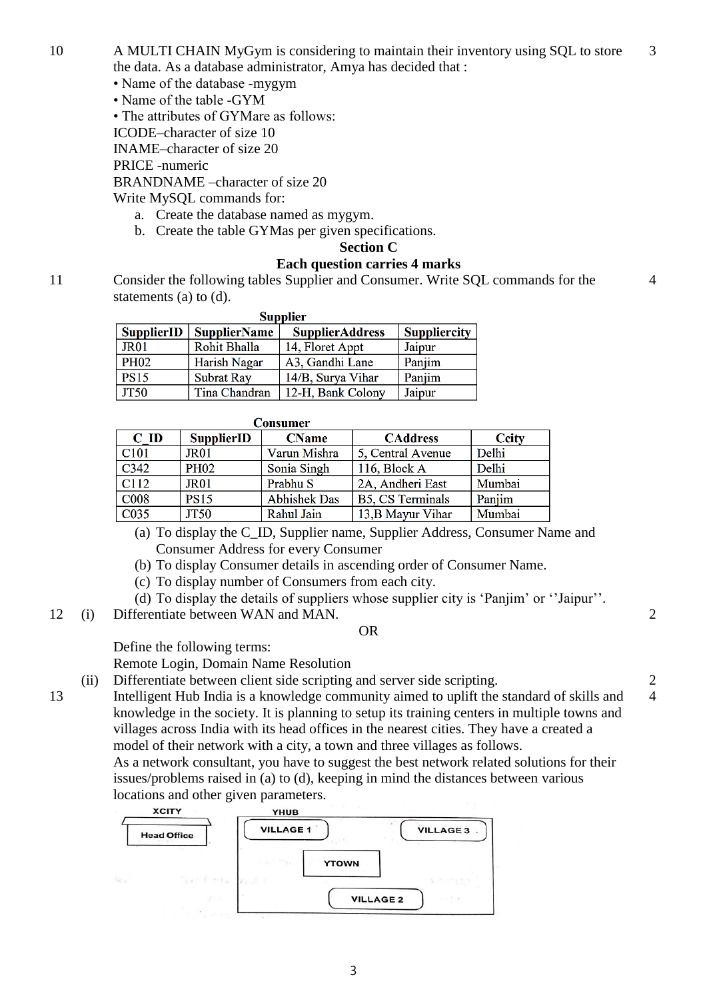- 10 A MULTI CHAIN MyGym is considering to maintain their inventory using SQL to store the data. As a database administrator, Amya has decided that : 3
	- Name of the database -mygym
	- Name of the table -GYM
	- The attributes of GYMare as follows:
	- ICODE–character of size 10
	- INAME–character of size 20

PRICE -numeric

BRANDNAME –character of size 20

Write MySQL commands for:

- a. Create the database named as mygym.
- b. Create the table GYMas per given specifications.

#### **Section C**

#### **Each question carries 4 marks**

11 Consider the following tables Supplier and Consumer. Write SQL commands for the statements (a) to (d).

| <b>Supplier</b>   |                     |                        |                     |  |
|-------------------|---------------------|------------------------|---------------------|--|
| <b>SupplierID</b> | <b>SupplierName</b> | <b>SupplierAddress</b> | <b>Suppliercity</b> |  |
| JR <sub>01</sub>  | Rohit Bhalla        | 14, Floret Appt        | Jaipur              |  |
| <b>PH02</b>       | Harish Nagar        | A3, Gandhi Lane        | Panjim              |  |
| <b>PS15</b>       | <b>Subrat Ray</b>   | 14/B, Surya Vihar      | Panjim              |  |
| <b>JT50</b>       | Tina Chandran       | 12-H, Bank Colony      | Jaipur              |  |

|                  | Consumer          |                     |                         |              |
|------------------|-------------------|---------------------|-------------------------|--------------|
| $C$ ID           | <b>SupplierID</b> | <b>CName</b>        | <b>CAddress</b>         | <b>Ccity</b> |
| C <sub>101</sub> | JR <sub>01</sub>  | Varun Mishra        | 5, Central Avenue       | Delhi        |
| C342             | <b>PH02</b>       | Sonia Singh         | 116, Block A            | Delhi        |
| C112             | JR <sub>01</sub>  | Prabhu S            | 2A, Andheri East        | Mumbai       |
| <b>C008</b>      | <b>PS15</b>       | <b>Abhishek Das</b> | <b>B5, CS Terminals</b> | Panjim       |
| C035             | <b>JT50</b>       | Rahul Jain          | 13, B Mayur Vihar       | Mumbai       |

- (a) To display the C\_ID, Supplier name, Supplier Address, Consumer Name and Consumer Address for every Consumer
- (b) To display Consumer details in ascending order of Consumer Name.
- (c) To display number of Consumers from each city.
- (d) To display the details of suppliers whose supplier city is 'Panjim' or ''Jaipur''.
- 12 (i) Differentiate between WAN and MAN.

#### OR

Define the following terms:

Remote Login, Domain Name Resolution

(ii) Differentiate between client side scripting and server side scripting. 2

13 Intelligent Hub India is a knowledge community aimed to uplift the standard of skills and knowledge in the society. It is planning to setup its training centers in multiple towns and villages across India with its head offices in the nearest cities. They have a created a model of their network with a city, a town and three villages as follows.

As a network consultant, you have to suggest the best network related solutions for their issues/problems raised in (a) to (d), keeping in mind the distances between various locations and other given parameters.



4